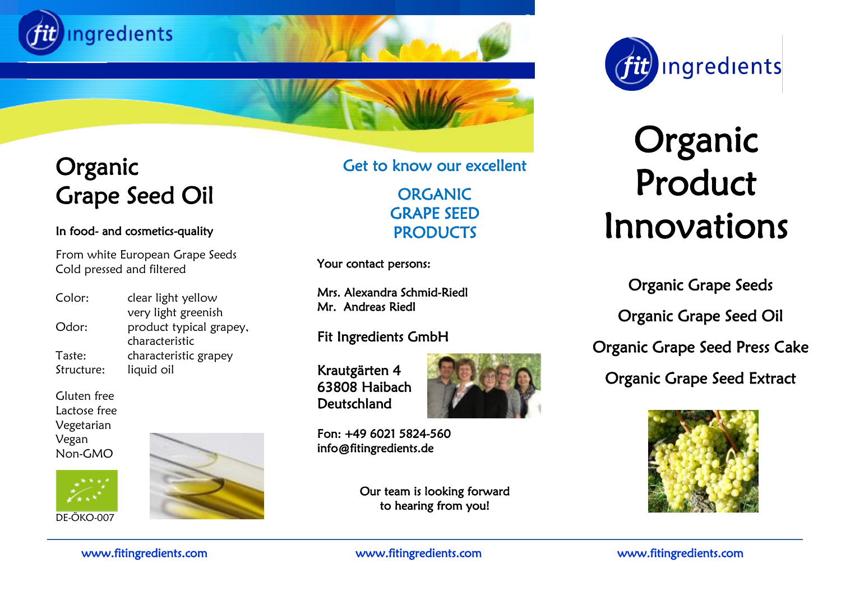



# Organic Product Innovations

Organic Grape Seeds Organic Grape Seed Oil Organic Grape Seed Press Cake Organic Grape Seed Extract



### Organic Grape Seed Oil

#### In food- and cosmetics-quality

 From white European Grape Seeds Cold pressed and filtered

| Color:     | clear light yellow      |
|------------|-------------------------|
|            | very light greenish     |
| Odor:      | product typical grapey, |
|            | characteristic          |
| Taste:     | characteristic grapey   |
| Structure: | liquid oil              |
|            |                         |

Gluten free Lactose free Vegetarian Vegan Non-GMO





Get to know our excellent

ORGANIC GRAPE SEED **PRODUCTS** 

Your contact persons:

Mrs. Alexandra Schmid-Riedl Mr. Andreas Riedl

#### Fit Ingredients GmbH

Krautgärten 4 63808 Haibach Deutschland



Fon: +49 6021 5824-560 info@fitingredients.de

> Our team is looking forward to hearing from you!

www.fitingredients.com www.fitingredients.com www.fitingredients.com